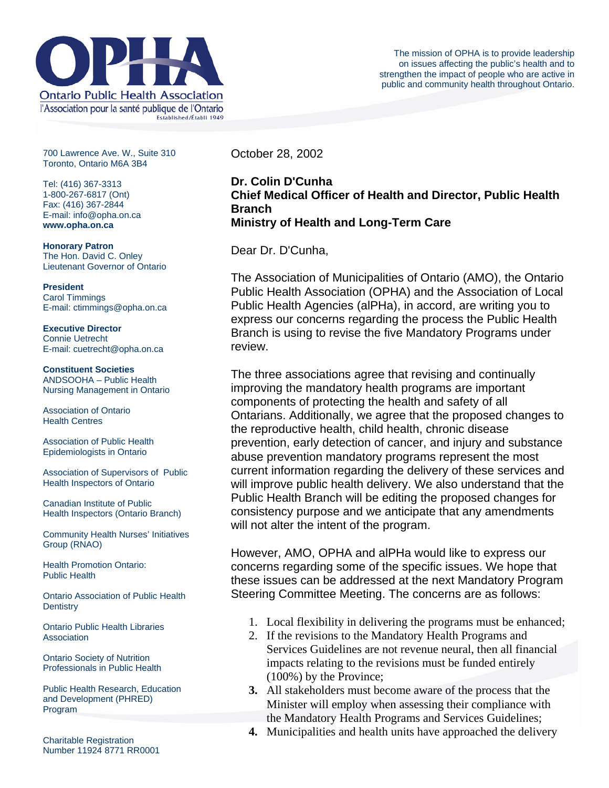

700 Lawrence Ave. W., Suite 310 Toronto, Ontario M6A 3B4

Tel: (416) 367-3313 1-800-267-6817 (Ont) Fax: (416) 367-2844 E-mail: info@opha.on.ca **www.opha.on.ca** 

**Honorary Patron**  The Hon. David C. Onley Lieutenant Governor of Ontario

**President**  Carol Timmings E-mail: ctimmings@opha.on.ca

**Executive Director**  Connie Uetrecht E-mail: cuetrecht@opha.on.ca

**Constituent Societies**  ANDSOOHA – Public Health Nursing Management in Ontario

Association of Ontario Health Centres

Association of Public Health Epidemiologists in Ontario

Association of Supervisors of Public Health Inspectors of Ontario

Canadian Institute of Public Health Inspectors (Ontario Branch)

Community Health Nurses' Initiatives Group (RNAO)

Health Promotion Ontario: Public Health

Ontario Association of Public Health **Dentistry** 

Ontario Public Health Libraries **Association** 

Ontario Society of Nutrition Professionals in Public Health

Public Health Research, Education and Development (PHRED) Program

Charitable Registration Number 11924 8771 RR0001 October 28, 2002

## **Dr. Colin D'Cunha Chief Medical Officer of Health and Director, Public Health Branch Ministry of Health and Long-Term Care**

Dear Dr. D'Cunha,

The Association of Municipalities of Ontario (AMO), the Ontario Public Health Association (OPHA) and the Association of Local Public Health Agencies (alPHa), in accord, are writing you to express our concerns regarding the process the Public Health Branch is using to revise the five Mandatory Programs under review.

The three associations agree that revising and continually improving the mandatory health programs are important components of protecting the health and safety of all Ontarians. Additionally, we agree that the proposed changes to the reproductive health, child health, chronic disease prevention, early detection of cancer, and injury and substance abuse prevention mandatory programs represent the most current information regarding the delivery of these services and will improve public health delivery. We also understand that the Public Health Branch will be editing the proposed changes for consistency purpose and we anticipate that any amendments will not alter the intent of the program.

However, AMO, OPHA and alPHa would like to express our concerns regarding some of the specific issues. We hope that these issues can be addressed at the next Mandatory Program Steering Committee Meeting. The concerns are as follows:

- 1. Local flexibility in delivering the programs must be enhanced;
- 2. If the revisions to the Mandatory Health Programs and Services Guidelines are not revenue neural, then all financial impacts relating to the revisions must be funded entirely (100%) by the Province;
- **3.** All stakeholders must become aware of the process that the Minister will employ when assessing their compliance with the Mandatory Health Programs and Services Guidelines;
- **4.** Municipalities and health units have approached the delivery